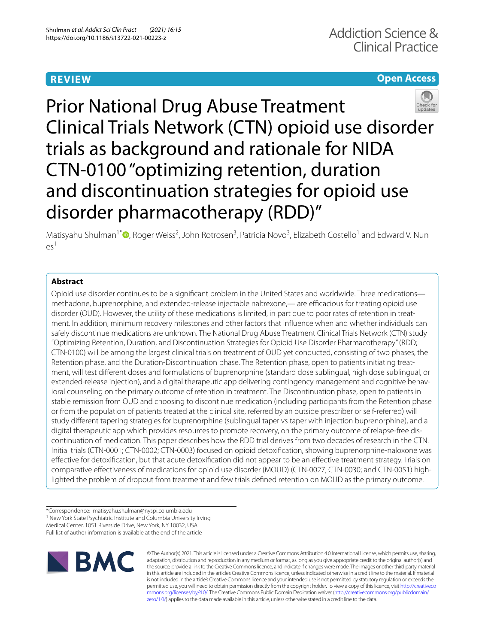# **REVIEW**

# **Open Access**



Prior National Drug Abuse Treatment Clinical Trials Network (CTN) opioid use disorder trials as background and rationale for NIDA CTN-0100 "optimizing retention, duration and discontinuation strategies for opioid use disorder pharmacotherapy (RDD)"

Matisyahu Shulman<sup>1\*</sup> <sup>(D</sup>[,](http://orcid.org/0000-0002-2941-8895) Roger Weiss<sup>2</sup>, John Rotrosen<sup>3</sup>, Patricia Novo<sup>3</sup>, Elizabeth Costello<sup>1</sup> and Edward V. Nun  $\rho_5$ <sup>1</sup>

# **Abstract**

Opioid use disorder continues to be a signifcant problem in the United States and worldwide. Three medications methadone, buprenorphine, and extended-release injectable naltrexone,— are efcacious for treating opioid use disorder (OUD). However, the utility of these medications is limited, in part due to poor rates of retention in treatment. In addition, minimum recovery milestones and other factors that infuence when and whether individuals can safely discontinue medications are unknown. The National Drug Abuse Treatment Clinical Trials Network (CTN) study "Optimizing Retention, Duration, and Discontinuation Strategies for Opioid Use Disorder Pharmacotherapy" (RDD; CTN-0100) will be among the largest clinical trials on treatment of OUD yet conducted, consisting of two phases, the Retention phase, and the Duration-Discontinuation phase. The Retention phase, open to patients initiating treatment, will test diferent doses and formulations of buprenorphine (standard dose sublingual, high dose sublingual, or extended-release injection), and a digital therapeutic app delivering contingency management and cognitive behavioral counseling on the primary outcome of retention in treatment. The Discontinuation phase, open to patients in stable remission from OUD and choosing to discontinue medication (including participants from the Retention phase or from the population of patients treated at the clinical site, referred by an outside prescriber or self-referred) will study diferent tapering strategies for buprenorphine (sublingual taper vs taper with injection buprenorphine), and a digital therapeutic app which provides resources to promote recovery, on the primary outcome of relapse-free discontinuation of medication. This paper describes how the RDD trial derives from two decades of research in the CTN. Initial trials (CTN-0001; CTN-0002; CTN-0003) focused on opioid detoxifcation, showing buprenorphine-naloxone was efective for detoxifcation, but that acute detoxifcation did not appear to be an efective treatment strategy. Trials on comparative efectiveness of medications for opioid use disorder (MOUD) (CTN-0027; CTN-0030; and CTN-0051) highlighted the problem of dropout from treatment and few trials defned retention on MOUD as the primary outcome.

\*Correspondence: matisyahu.shulman@nyspi.columbia.edu <sup>1</sup> New York State Psychiatric Institute and Columbia University Irving Medical Center, 1051 Riverside Drive, New York, NY 10032, USA Full list of author information is available at the end of the article



© The Author(s) 2021. This article is licensed under a Creative Commons Attribution 4.0 International License, which permits use, sharing, adaptation, distribution and reproduction in any medium or format, as long as you give appropriate credit to the original author(s) and the source, provide a link to the Creative Commons licence, and indicate if changes were made. The images or other third party material in this article are included in the article's Creative Commons licence, unless indicated otherwise in a credit line to the material. If material is not included in the article's Creative Commons licence and your intended use is not permitted by statutory regulation or exceeds the permitted use, you will need to obtain permission directly from the copyright holder. To view a copy of this licence, visit [http://creativeco](http://creativecommons.org/licenses/by/4.0/) [mmons.org/licenses/by/4.0/.](http://creativecommons.org/licenses/by/4.0/) The Creative Commons Public Domain Dedication waiver ([http://creativecommons.org/publicdomain/](http://creativecommons.org/publicdomain/zero/1.0/) [zero/1.0/\)](http://creativecommons.org/publicdomain/zero/1.0/) applies to the data made available in this article, unless otherwise stated in a credit line to the data.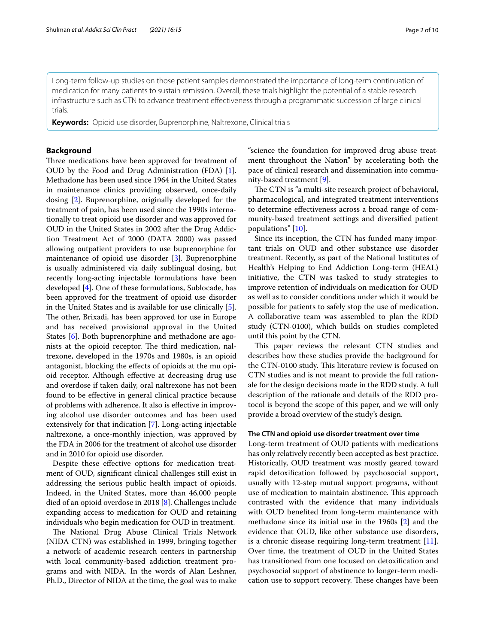Long-term follow-up studies on those patient samples demonstrated the importance of long-term continuation of medication for many patients to sustain remission. Overall, these trials highlight the potential of a stable research infrastructure such as CTN to advance treatment efectiveness through a programmatic succession of large clinical trials.

**Keywords:** Opioid use disorder, Buprenorphine, Naltrexone, Clinical trials

# **Background**

Three medications have been approved for treatment of OUD by the Food and Drug Administration (FDA) [\[1](#page-8-0)]. Methadone has been used since 1964 in the United States in maintenance clinics providing observed, once-daily dosing [[2\]](#page-8-1). Buprenorphine, originally developed for the treatment of pain, has been used since the 1990s internationally to treat opioid use disorder and was approved for OUD in the United States in 2002 after the Drug Addiction Treatment Act of 2000 (DATA 2000) was passed allowing outpatient providers to use buprenorphine for maintenance of opioid use disorder [[3\]](#page-8-2). Buprenorphine is usually administered via daily sublingual dosing, but recently long-acting injectable formulations have been developed [\[4](#page-8-3)]. One of these formulations, Sublocade, has been approved for the treatment of opioid use disorder in the United States and is available for use clinically [\[5](#page-8-4)]. The other, Brixadi, has been approved for use in Europe and has received provisional approval in the United States [\[6](#page-8-5)]. Both buprenorphine and methadone are agonists at the opioid receptor. The third medication, naltrexone, developed in the 1970s and 1980s, is an opioid antagonist, blocking the efects of opioids at the mu opioid receptor. Although efective at decreasing drug use and overdose if taken daily, oral naltrexone has not been found to be efective in general clinical practice because of problems with adherence. It also is efective in improving alcohol use disorder outcomes and has been used extensively for that indication [\[7](#page-8-6)]. Long-acting injectable naltrexone, a once-monthly injection, was approved by the FDA in 2006 for the treatment of alcohol use disorder and in 2010 for opioid use disorder.

Despite these efective options for medication treatment of OUD, signifcant clinical challenges still exist in addressing the serious public health impact of opioids. Indeed, in the United States, more than 46,000 people died of an opioid overdose in 2018 [\[8](#page-8-7)]. Challenges include expanding access to medication for OUD and retaining individuals who begin medication for OUD in treatment.

The National Drug Abuse Clinical Trials Network (NIDA CTN) was established in 1999, bringing together a network of academic research centers in partnership with local community-based addiction treatment programs and with NIDA. In the words of Alan Leshner, Ph.D., Director of NIDA at the time, the goal was to make

"science the foundation for improved drug abuse treatment throughout the Nation" by accelerating both the pace of clinical research and dissemination into community-based treatment [[9\]](#page-8-8).

The CTN is "a multi-site research project of behavioral, pharmacological, and integrated treatment interventions to determine efectiveness across a broad range of community-based treatment settings and diversifed patient populations" [\[10](#page-8-9)].

Since its inception, the CTN has funded many important trials on OUD and other substance use disorder treatment. Recently, as part of the National Institutes of Health's Helping to End Addiction Long-term (HEAL) initiative, the CTN was tasked to study strategies to improve retention of individuals on medication for OUD as well as to consider conditions under which it would be possible for patients to safely stop the use of medication. A collaborative team was assembled to plan the RDD study (CTN-0100), which builds on studies completed until this point by the CTN.

This paper reviews the relevant CTN studies and describes how these studies provide the background for the CTN-0100 study. This literature review is focused on CTN studies and is not meant to provide the full rationale for the design decisions made in the RDD study. A full description of the rationale and details of the RDD protocol is beyond the scope of this paper, and we will only provide a broad overview of the study's design.

# **The CTN and opioid use disorder treatment over time**

Long-term treatment of OUD patients with medications has only relatively recently been accepted as best practice. Historically, OUD treatment was mostly geared toward rapid detoxifcation followed by psychosocial support, usually with 12-step mutual support programs, without use of medication to maintain abstinence. This approach contrasted with the evidence that many individuals with OUD benefted from long-term maintenance with methadone since its initial use in the 1960s [\[2](#page-8-1)] and the evidence that OUD, like other substance use disorders, is a chronic disease requiring long-term treatment [\[11](#page-8-10)]. Over time, the treatment of OUD in the United States has transitioned from one focused on detoxifcation and psychosocial support of abstinence to longer-term medication use to support recovery. These changes have been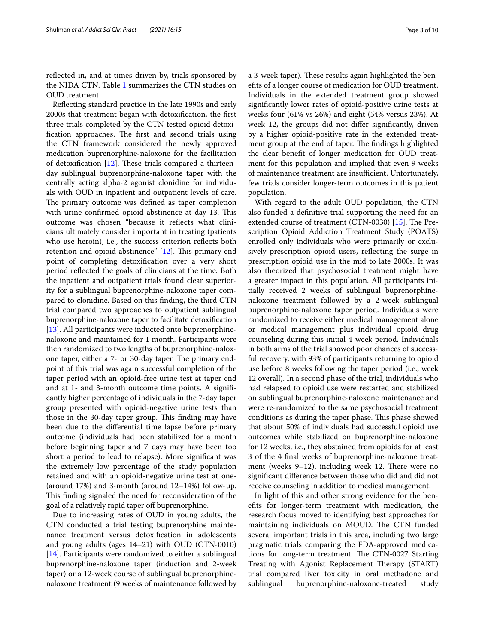refected in, and at times driven by, trials sponsored by the NIDA CTN. Table [1](#page-3-0) summarizes the CTN studies on OUD treatment.

Refecting standard practice in the late 1990s and early 2000s that treatment began with detoxifcation, the frst three trials completed by the CTN tested opioid detoxification approaches. The first and second trials using the CTN framework considered the newly approved medication buprenorphine-naloxone for the facilitation of detoxification  $[12]$  $[12]$ . These trials compared a thirteenday sublingual buprenorphine-naloxone taper with the centrally acting alpha-2 agonist clonidine for individuals with OUD in inpatient and outpatient levels of care. The primary outcome was defined as taper completion with urine-confirmed opioid abstinence at day 13. This outcome was chosen "because it refects what clinicians ultimately consider important in treating (patients who use heroin), i.e., the success criterion refects both retention and opioid abstinence"  $[12]$  $[12]$  $[12]$ . This primary end point of completing detoxifcation over a very short period refected the goals of clinicians at the time. Both the inpatient and outpatient trials found clear superiority for a sublingual buprenorphine-naloxone taper compared to clonidine. Based on this fnding, the third CTN trial compared two approaches to outpatient sublingual buprenorphine-naloxone taper to facilitate detoxifcation [[13\]](#page-8-12). All participants were inducted onto buprenorphinenaloxone and maintained for 1 month. Participants were then randomized to two lengths of buprenorphine-naloxone taper, either a 7- or 30-day taper. The primary endpoint of this trial was again successful completion of the taper period with an opioid-free urine test at taper end and at 1- and 3-month outcome time points. A signifcantly higher percentage of individuals in the 7-day taper group presented with opioid-negative urine tests than those in the 30-day taper group. This finding may have been due to the diferential time lapse before primary outcome (individuals had been stabilized for a month before beginning taper and 7 days may have been too short a period to lead to relapse). More signifcant was the extremely low percentage of the study population retained and with an opioid-negative urine test at one- (around 17%) and 3-month (around 12–14%) follow-up. This finding signaled the need for reconsideration of the goal of a relatively rapid taper of buprenorphine.

Due to increasing rates of OUD in young adults, the CTN conducted a trial testing buprenorphine maintenance treatment versus detoxifcation in adolescents and young adults (ages 14–21) with OUD (CTN-0010) [[14\]](#page-8-13). Participants were randomized to either a sublingual buprenorphine-naloxone taper (induction and 2-week taper) or a 12-week course of sublingual buprenorphinenaloxone treatment (9 weeks of maintenance followed by a 3-week taper). These results again highlighted the benefts of a longer course of medication for OUD treatment. Individuals in the extended treatment group showed signifcantly lower rates of opioid-positive urine tests at weeks four (61% vs 26%) and eight (54% versus 23%). At week 12, the groups did not difer signifcantly, driven by a higher opioid-positive rate in the extended treatment group at the end of taper. The findings highlighted the clear beneft of longer medication for OUD treatment for this population and implied that even 9 weeks of maintenance treatment are insufficient. Unfortunately, few trials consider longer-term outcomes in this patient population.

With regard to the adult OUD population, the CTN also funded a defnitive trial supporting the need for an extended course of treatment (CTN-0030)  $[15]$ . The Prescription Opioid Addiction Treatment Study (POATS) enrolled only individuals who were primarily or exclusively prescription opioid users, refecting the surge in prescription opioid use in the mid to late 2000s. It was also theorized that psychosocial treatment might have a greater impact in this population. All participants initially received 2 weeks of sublingual buprenorphinenaloxone treatment followed by a 2-week sublingual buprenorphine-naloxone taper period. Individuals were randomized to receive either medical management alone or medical management plus individual opioid drug counseling during this initial 4-week period. Individuals in both arms of the trial showed poor chances of successful recovery, with 93% of participants returning to opioid use before 8 weeks following the taper period (i.e., week 12 overall). In a second phase of the trial, individuals who had relapsed to opioid use were restarted and stabilized on sublingual buprenorphine-naloxone maintenance and were re-randomized to the same psychosocial treatment conditions as during the taper phase. This phase showed that about 50% of individuals had successful opioid use outcomes while stabilized on buprenorphine-naloxone for 12 weeks, i.e., they abstained from opioids for at least 3 of the 4 fnal weeks of buprenorphine-naloxone treatment (weeks 9-12), including week 12. There were no signifcant diference between those who did and did not receive counseling in addition to medical management.

In light of this and other strong evidence for the benefts for longer-term treatment with medication, the research focus moved to identifying best approaches for maintaining individuals on MOUD. The CTN funded several important trials in this area, including two large pragmatic trials comparing the FDA-approved medications for long-term treatment. The CTN-0027 Starting Treating with Agonist Replacement Therapy (START) trial compared liver toxicity in oral methadone and sublingual buprenorphine-naloxone-treated study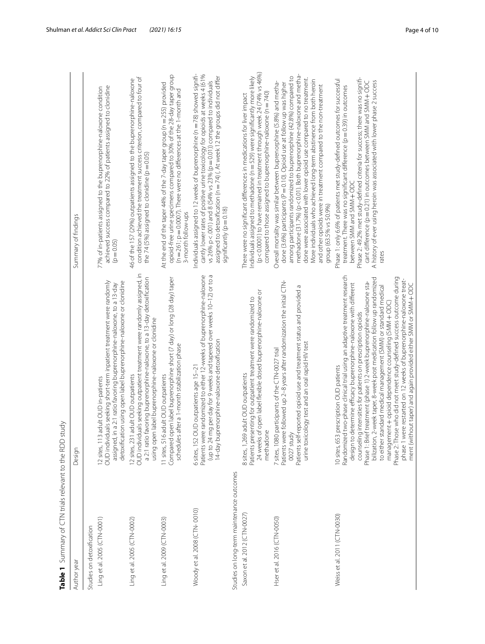<span id="page-3-0"></span>

| Ling et al. 2005 (CTN-0001)<br>Studies on detoxification<br>Author year | $\overrightarrow{d}$<br>Summary of CTN trials relevant to the RDD st                                                                                                                                                                                                                                                                                                                                                                                                                                                                                                                                                                                                                                                                                            |                                                                                                                                                                                                                                                                                                                                                                                                                                                                                                                                              |
|-------------------------------------------------------------------------|-----------------------------------------------------------------------------------------------------------------------------------------------------------------------------------------------------------------------------------------------------------------------------------------------------------------------------------------------------------------------------------------------------------------------------------------------------------------------------------------------------------------------------------------------------------------------------------------------------------------------------------------------------------------------------------------------------------------------------------------------------------------|----------------------------------------------------------------------------------------------------------------------------------------------------------------------------------------------------------------------------------------------------------------------------------------------------------------------------------------------------------------------------------------------------------------------------------------------------------------------------------------------------------------------------------------------|
|                                                                         | Design                                                                                                                                                                                                                                                                                                                                                                                                                                                                                                                                                                                                                                                                                                                                                          | Summary of findings                                                                                                                                                                                                                                                                                                                                                                                                                                                                                                                          |
|                                                                         |                                                                                                                                                                                                                                                                                                                                                                                                                                                                                                                                                                                                                                                                                                                                                                 |                                                                                                                                                                                                                                                                                                                                                                                                                                                                                                                                              |
|                                                                         | OUD individuals seeking short-term inpatient treatment were randomly<br>detoxification using open label buprenorphine-naloxone or clonidine<br>assigned, in a 2:1 ratio favoring buprenorphine-naloxone, to a 13-day<br>adult OUD in-patients<br>12 sites, 113                                                                                                                                                                                                                                                                                                                                                                                                                                                                                                  | achieved success compared to 22% of patients assigned to clonidine<br>77% of in-patients assigned to the buprenorphine-naloxone condition<br>$(p = 0.05)$                                                                                                                                                                                                                                                                                                                                                                                    |
| Ling et al. 2005 (CTN-0002)                                             | OUD individuals seeking outpatient treatment were randomly assigned, in<br>a 2:1 ratio favoring buprenorphine-naloxone, to a 13-day detoxification<br>using open label buprenorphine-naloxone or clonidine<br>adult OUD outpatients<br>12 sites, 231                                                                                                                                                                                                                                                                                                                                                                                                                                                                                                            | condition achieved the treatment success criterion, compared to four of<br>46 of the 157 (29%) outpatients assigned to the buprenorphine-naloxone<br>the 74 (5%) assigned to clonidine ( $p = 0.05$ )                                                                                                                                                                                                                                                                                                                                        |
| Ling et al. 2009 (CTN-0003)                                             | Compared open label buprenorphine short (7 day) or long (28 day) taper<br>schedules after a 1-month stabilization phase<br>11 sites, 516 adult OUD outpatients                                                                                                                                                                                                                                                                                                                                                                                                                                                                                                                                                                                                  | opioid-free urine specimens compared to 30% of the 28-day taper group<br>At the end of the taper 44% of the 7-day taper group (n = 255) provided<br>(n = 261; p = 0.0007). There were no differences at the 1-month and<br>3-month follow-ups                                                                                                                                                                                                                                                                                                |
| Woody et al. 2008 (CTN-0010)                                            | Patients were randomized to either 12-weeks of buprenorphine-naloxone<br>(up to 24 mg per day for 9 weeks and tapered over weeks 10-12) or to a<br>14-day buprenorphine-naloxone detoxification<br>6 sites, 152 OUD outpatients age 15-21                                                                                                                                                                                                                                                                                                                                                                                                                                                                                                                       | Individuals assigned to 12 weeks of buprenorphine (n = 78) showed signifi-<br>cantly lower rates of positive urine toxicology for opioids at weeks 4 (61%<br>assigned to detoxification (n = 74) (. At week 12 the groups did not differ<br>vs 26% p < .001) and 8 (54% vs 23% (p = 0.01)) compared to individuals<br>significantly (p = 0.18)                                                                                                                                                                                               |
| Studies on long-term maintenance outcomes                               |                                                                                                                                                                                                                                                                                                                                                                                                                                                                                                                                                                                                                                                                                                                                                                 |                                                                                                                                                                                                                                                                                                                                                                                                                                                                                                                                              |
| Saxon et al. 2012 (CTN-0027)                                            | 24 weeks of open label flexible dosed buprenorphine-naloxone or<br>Patients presenting for outpatient treatment were randomized to<br>8 sites, 1,269 adult OUD outpatients<br>methadone                                                                                                                                                                                                                                                                                                                                                                                                                                                                                                                                                                         | (p<0.0001) to have remained in treatment through week 24 (74% vs 46%)<br>Individuals assigned to methadone (n = 529) were significantly more likely<br>compared to those assigned to buprenorphine-naloxone ( $n = 740$ )<br>There were no significant differences in medications for liver impact                                                                                                                                                                                                                                           |
| Hser et al. 2016 (CTN-0050)                                             | Patients were followed up 2-8 years after randomization the initial CTN-<br>Patients self-reported opioid use and treatment status and provided a<br>urine toxicology test and an oral rapid HIV test<br>participants of the CTN-0027 trial<br>0027 study<br>7 sites, 1080                                                                                                                                                                                                                                                                                                                                                                                                                                                                                      | methadone (31.7%) (p < 0.01). Both buprenorphine-naloxone and metha-<br>among participants randomized to buprenorphine (42.8%) compared to<br>done were associated with lower opioid use compared to no treatment.<br>More individuals who achieved long-term abstinence from both heroin<br>Overall mortality was similar between buprenorphine (5.8%) and metha-<br>done (3.6%) participants (P = 0.10). Opioid use at follow up was higher<br>and other opioids were in treatment compared to the non-treatment<br>group (63.5% vs 50.9%) |
| Weiss et al. 2011 (CTN-0030)                                            | two-phase clinical trial using an adaptive treatment research<br>Phase 2: Those who did not meet study-defined success outcome during<br>bilization, 2-week taper, 8-week post medication follow up randomized<br>phase 1 were restarted on 12 weeks of buprenorphine-naloxone treat-<br>ftreatment (phase 1) 2-week buprenorphine-naloxone sta-<br>design to determine efficacy buprenorphine-naloxone with different<br>ment (without taper) and again provided either SMM or SMM + ODC<br>to either standard medical management (SMM) or standard medical<br>management + opioid dependence counseling (SMM + ODC)<br>counseling intensities for patients on prescription opioids<br>10 sites, 653 prescription OUD patients<br>Randomized<br>Phase 1: Briet | Phase 2: 49.2% met study-defined criteria for success; there was no signifi-<br>Phase 1: only 6.6% of patients met study-defined outcomes for successful<br>cant difference (p=0.21) in outcomes between SMM and SMM + ODC<br>A history of ever using heroin was associated with lower phase 2 success<br>treatment. There was no significant difference (p = 0.39) in outcomes<br>between SMM and SMM + ODC<br>rates                                                                                                                        |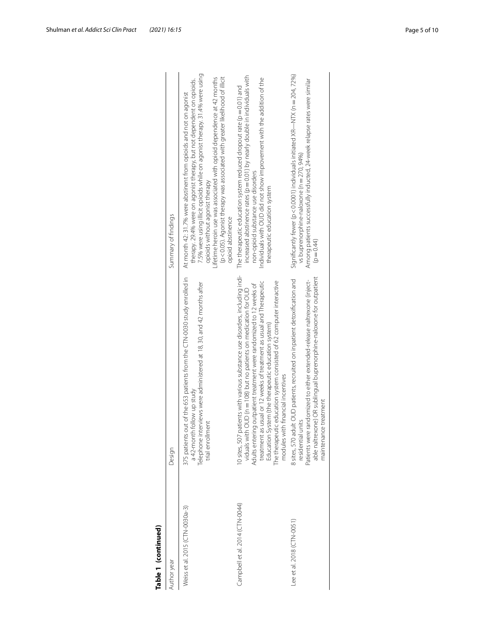| Table 1 (continued)             |                                                                                                                                                                                                                                                                                                                                                                                                                                                                             |                                                                                                                                                                                                                                                                                                                                                                                                                                           |
|---------------------------------|-----------------------------------------------------------------------------------------------------------------------------------------------------------------------------------------------------------------------------------------------------------------------------------------------------------------------------------------------------------------------------------------------------------------------------------------------------------------------------|-------------------------------------------------------------------------------------------------------------------------------------------------------------------------------------------------------------------------------------------------------------------------------------------------------------------------------------------------------------------------------------------------------------------------------------------|
| Author year                     | Design                                                                                                                                                                                                                                                                                                                                                                                                                                                                      | Summary of findings                                                                                                                                                                                                                                                                                                                                                                                                                       |
| Weiss et al. 2015 (CTN-0030a-3) | 375 patients out of the 653 patients from the CTN-0030 study enrolled in<br>Telephone interviews were administered at 18, 30, and 42 months after<br>a 42-month follow up study<br>trial enrollment                                                                                                                                                                                                                                                                         | 7.5% were using illicit opioids while on agonist therapy. 31.4% were using<br>(p<0.05). Agonist therapy was associated with greater likelihood of illicit<br>Lifetime heroin use was associated with opioid dependence at 42 months<br>therapy. 29.4% were on agonist therapy, but not dependent on opioids.<br>At month 42: 31.7% were abstinent from opioids and not on agonist<br>opioids without agonist therapy<br>opioid abstinence |
| Campbell et al. 2014 (CTN-0044) | 0 sites, 507 patients with various substance use disorders, including indi-<br>eutic education system consisted of 62 computer interactive<br>treatment as usual or 12 weeks of treatment as usual and Therapeutic<br>Adults entering outpatient treatment were randomized to 12 weeks of<br>viduals with OUD ( $n = 108$ ) but no patients on medication for OUD<br>Education System (the therapeutic education system)<br>modules with financial incentives<br>The therap | increased abstinence rates ( $p = 0.01$ ) by nearly double in individuals with<br>Individuals with OUD did not show improvement with the addition of the<br>The therapeutic education system reduced dropout rate ( $p = 0.01$ ) and<br>non-opioid substance use disorders<br>therapeutic education system                                                                                                                                |
| Lee et al. 2018 ( $CTN-0051$ )  | able naltrexone) OR sublingual buprenorphine-naloxone for outpatient<br>8 sites, 570 adult OUD patients, recruited on inpatient detoxification and<br>Patients were randomized to either extended-release naltrexone (inject-<br>maintenance treatment<br>residential units                                                                                                                                                                                                 | Significantly fewer ( $p < 0.0001$ ) individuals initiated XR—NTX ( $n = 204, 72\%$ )<br>Among patients successfully inducted, 24-week relapse rates were similar<br>vs buprenorphine-naloxone (n = 270, 94%)<br>$(p = 0.44)$                                                                                                                                                                                                             |
|                                 |                                                                                                                                                                                                                                                                                                                                                                                                                                                                             |                                                                                                                                                                                                                                                                                                                                                                                                                                           |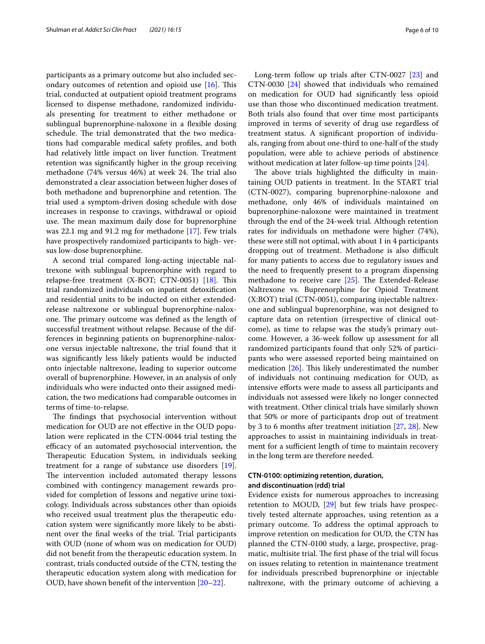participants as a primary outcome but also included secondary outcomes of retention and opioid use  $[16]$  $[16]$ . This trial, conducted at outpatient opioid treatment programs licensed to dispense methadone, randomized individuals presenting for treatment to either methadone or sublingual buprenorphine-naloxone in a fexible dosing schedule. The trial demonstrated that the two medications had comparable medical safety profles, and both had relatively little impact on liver function. Treatment retention was signifcantly higher in the group receiving methadone (74% versus 46%) at week 24. The trial also demonstrated a clear association between higher doses of both methadone and buprenorphine and retention. The trial used a symptom-driven dosing schedule with dose increases in response to cravings, withdrawal or opioid use. The mean maximum daily dose for buprenorphine was 22.1 mg and 91.2 mg for methadone [\[17](#page-8-16)]. Few trials have prospectively randomized participants to high- versus low-dose buprenorphine.

A second trial compared long-acting injectable naltrexone with sublingual buprenorphine with regard to relapse-free treatment  $(X-BOT; CTN-0051)$  [\[18](#page-8-17)]. This trial randomized individuals on inpatient detoxifcation and residential units to be inducted on either extendedrelease naltrexone or sublingual buprenorphine-naloxone. The primary outcome was defined as the length of successful treatment without relapse. Because of the differences in beginning patients on buprenorphine-naloxone versus injectable naltrexone, the trial found that it was signifcantly less likely patients would be inducted onto injectable naltrexone, leading to superior outcome overall of buprenorphine. However, in an analysis of only individuals who were inducted onto their assigned medication, the two medications had comparable outcomes in terms of time-to-relapse.

The findings that psychosocial intervention without medication for OUD are not efective in the OUD population were replicated in the CTN-0044 trial testing the efficacy of an automated psychosocial intervention, the Therapeutic Education System, in individuals seeking treatment for a range of substance use disorders [\[19](#page-8-18)]. The intervention included automated therapy lessons combined with contingency management rewards provided for completion of lessons and negative urine toxicology. Individuals across substances other than opioids who received usual treatment plus the therapeutic education system were signifcantly more likely to be abstinent over the fnal weeks of the trial. Trial participants with OUD (none of whom was on medication for OUD) did not beneft from the therapeutic education system. In contrast, trials conducted outside of the CTN, testing the therapeutic education system along with medication for OUD, have shown beneft of the intervention [[20–](#page-8-19)[22](#page-8-20)].

Long-term follow up trials after CTN-0027 [[23\]](#page-8-21) and CTN-0030 [\[24](#page-8-22)] showed that individuals who remained on medication for OUD had signifcantly less opioid use than those who discontinued medication treatment. Both trials also found that over time most participants improved in terms of severity of drug use regardless of treatment status. A signifcant proportion of individuals, ranging from about one-third to one-half of the study population, were able to achieve periods of abstinence without medication at later follow-up time points [\[24\]](#page-8-22).

The above trials highlighted the difficulty in maintaining OUD patients in treatment. In the START trial (CTN-0027), comparing buprenorphine-naloxone and methadone, only 46% of individuals maintained on buprenorphine-naloxone were maintained in treatment through the end of the 24-week trial. Although retention rates for individuals on methadone were higher (74%), these were still not optimal, with about 1 in 4 participants dropping out of treatment. Methadone is also difficult for many patients to access due to regulatory issues and the need to frequently present to a program dispensing methadone to receive care  $[25]$  $[25]$ . The Extended-Release Naltrexone vs. Buprenorphine for Opioid Treatment (X:BOT) trial (CTN-0051), comparing injectable naltrexone and sublingual buprenorphine, was not designed to capture data on retention (irrespective of clinical outcome), as time to relapse was the study's primary outcome. However, a 36-week follow up assessment for all randomized participants found that only 52% of participants who were assessed reported being maintained on medication  $[26]$  $[26]$ . This likely underestimated the number of individuals not continuing medication for OUD, as intensive eforts were made to assess all participants and individuals not assessed were likely no longer connected with treatment. Other clinical trials have similarly shown that 50% or more of participants drop out of treatment by 3 to 6 months after treatment initiation [\[27](#page-9-1), [28](#page-9-2)]. New approaches to assist in maintaining individuals in treatment for a sufficient length of time to maintain recovery in the long term are therefore needed.

# **CTN‑0100: optimizing retention, duration, and discontinuation (rdd) trial**

Evidence exists for numerous approaches to increasing retention to MOUD, [\[29](#page-9-3)] but few trials have prospectively tested alternate approaches, using retention as a primary outcome. To address the optimal approach to improve retention on medication for OUD, the CTN has planned the CTN-0100 study, a large, prospective, pragmatic, multisite trial. The first phase of the trial will focus on issues relating to retention in maintenance treatment for individuals prescribed buprenorphine or injectable naltrexone, with the primary outcome of achieving a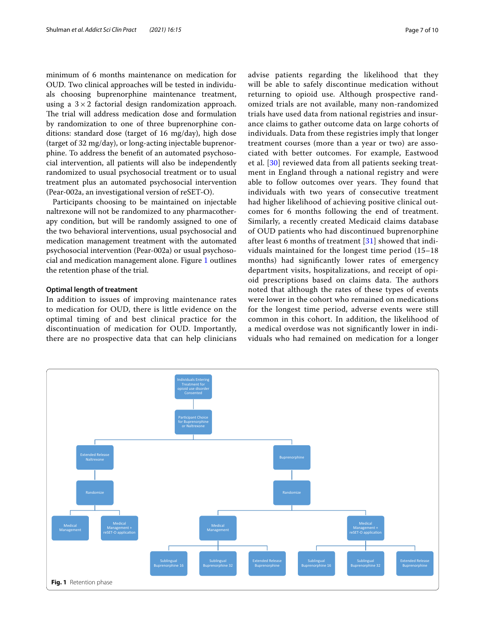minimum of 6 months maintenance on medication for OUD. Two clinical approaches will be tested in individuals choosing buprenorphine maintenance treatment, using a  $3 \times 2$  factorial design randomization approach. The trial will address medication dose and formulation by randomization to one of three buprenorphine conditions: standard dose (target of 16 mg/day), high dose (target of 32 mg/day), or long-acting injectable buprenorphine. To address the beneft of an automated psychosocial intervention, all patients will also be independently randomized to usual psychosocial treatment or to usual treatment plus an automated psychosocial intervention (Pear-002a, an investigational version of reSET-O).

Participants choosing to be maintained on injectable naltrexone will not be randomized to any pharmacotherapy condition, but will be randomly assigned to one of the two behavioral interventions, usual psychosocial and medication management treatment with the automated psychosocial intervention (Pear-002a) or usual psychosocial and medication management alone. Figure [1](#page-6-0) outlines the retention phase of the trial.

### **Optimal length of treatment**

In addition to issues of improving maintenance rates to medication for OUD, there is little evidence on the optimal timing of and best clinical practice for the discontinuation of medication for OUD. Importantly, there are no prospective data that can help clinicians advise patients regarding the likelihood that they will be able to safely discontinue medication without returning to opioid use. Although prospective randomized trials are not available, many non-randomized trials have used data from national registries and insurance claims to gather outcome data on large cohorts of individuals. Data from these registries imply that longer treatment courses (more than a year or two) are associated with better outcomes. For example, Eastwood et al. [\[30](#page-9-4)] reviewed data from all patients seeking treatment in England through a national registry and were able to follow outcomes over years. They found that individuals with two years of consecutive treatment had higher likelihood of achieving positive clinical outcomes for 6 months following the end of treatment. Similarly, a recently created Medicaid claims database of OUD patients who had discontinued buprenorphine after least 6 months of treatment [[31](#page-9-5)] showed that individuals maintained for the longest time period (15–18 months) had signifcantly lower rates of emergency department visits, hospitalizations, and receipt of opioid prescriptions based on claims data. The authors noted that although the rates of these types of events were lower in the cohort who remained on medications for the longest time period, adverse events were still common in this cohort. In addition, the likelihood of a medical overdose was not signifcantly lower in individuals who had remained on medication for a longer

<span id="page-6-0"></span>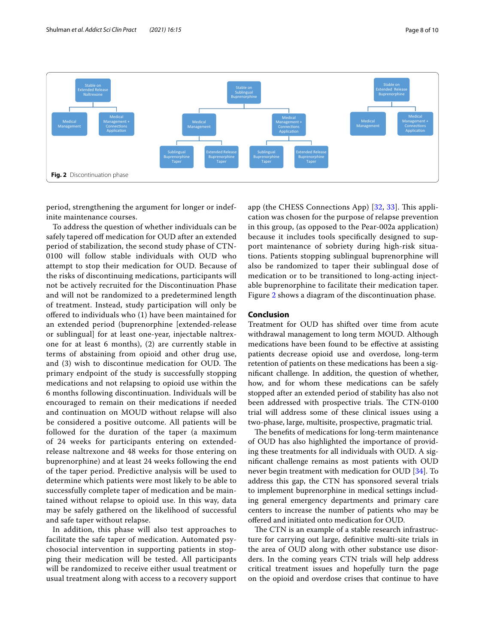

<span id="page-7-0"></span>period, strengthening the argument for longer or indefinite maintenance courses.

To address the question of whether individuals can be safely tapered off medication for OUD after an extended period of stabilization, the second study phase of CTN-0100 will follow stable individuals with OUD who attempt to stop their medication for OUD. Because of the risks of discontinuing medications, participants will not be actively recruited for the Discontinuation Phase and will not be randomized to a predetermined length of treatment. Instead, study participation will only be ofered to individuals who (1) have been maintained for an extended period (buprenorphine [extended-release or sublingual] for at least one-year, injectable naltrexone for at least 6 months), (2) are currently stable in terms of abstaining from opioid and other drug use, and (3) wish to discontinue medication for OUD. The primary endpoint of the study is successfully stopping medications and not relapsing to opioid use within the 6 months following discontinuation. Individuals will be encouraged to remain on their medications if needed and continuation on MOUD without relapse will also be considered a positive outcome. All patients will be followed for the duration of the taper (a maximum of 24 weeks for participants entering on extendedrelease naltrexone and 48 weeks for those entering on buprenorphine) and at least 24 weeks following the end of the taper period. Predictive analysis will be used to determine which patients were most likely to be able to successfully complete taper of medication and be maintained without relapse to opioid use. In this way, data may be safely gathered on the likelihood of successful and safe taper without relapse.

In addition, this phase will also test approaches to facilitate the safe taper of medication. Automated psychosocial intervention in supporting patients in stopping their medication will be tested. All participants will be randomized to receive either usual treatment or usual treatment along with access to a recovery support

app (the CHESS Connections App) [[32,](#page-9-6) [33](#page-9-7)]. This application was chosen for the purpose of relapse prevention in this group, (as opposed to the Pear-002a application) because it includes tools specifcally designed to support maintenance of sobriety during high-risk situations. Patients stopping sublingual buprenorphine will also be randomized to taper their sublingual dose of medication or to be transitioned to long-acting injectable buprenorphine to facilitate their medication taper. Figure [2](#page-7-0) shows a diagram of the discontinuation phase.

# **Conclusion**

Treatment for OUD has shifted over time from acute withdrawal management to long term MOUD. Although medications have been found to be efective at assisting patients decrease opioid use and overdose, long-term retention of patients on these medications has been a signifcant challenge. In addition, the question of whether, how, and for whom these medications can be safely stopped after an extended period of stability has also not been addressed with prospective trials. The CTN-0100 trial will address some of these clinical issues using a two-phase, large, multisite, prospective, pragmatic trial.

The benefits of medications for long-term maintenance of OUD has also highlighted the importance of providing these treatments for all individuals with OUD. A signifcant challenge remains as most patients with OUD never begin treatment with medication for OUD [\[34\]](#page-9-8). To address this gap, the CTN has sponsored several trials to implement buprenorphine in medical settings including general emergency departments and primary care centers to increase the number of patients who may be ofered and initiated onto medication for OUD.

The CTN is an example of a stable research infrastructure for carrying out large, defnitive multi-site trials in the area of OUD along with other substance use disorders. In the coming years CTN trials will help address critical treatment issues and hopefully turn the page on the opioid and overdose crises that continue to have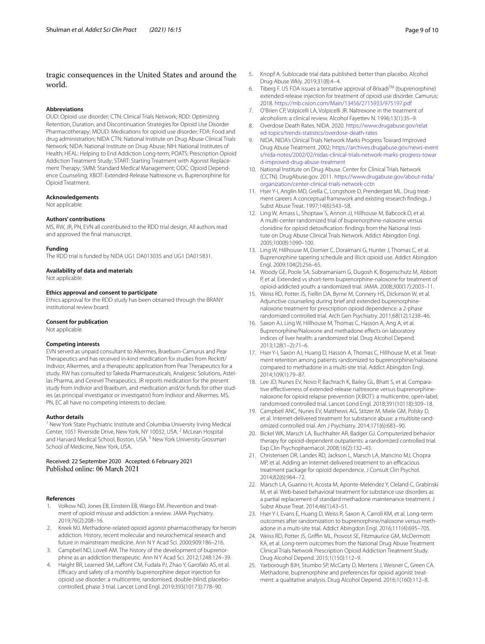# tragic consequences in the United States and around the world.

#### **Abbreviations**

OUD: Opioid use disorder; CTN: Clinical Trials Network; RDD: Optimizing Retention, Duration, and Discontinuation Strategies for Opioid Use Disorder Pharmacotherapy; MOUD: Medications for opioid use disorder; FDA: Food and drug administration; NIDA CTN: National Institute on Drug Abuse Clinical Trials Network; NIDA: National Institute on Drug Abuse; NIH: National Institutes of Health; HEAL: Helping to End Addiction Long-term; POATS: Prescription Opioid Addiction Treatment Study; START: Starting Treatment with Agonist Replacement Therapy; SMM: Standard Medical Management; ODC: Opioid Dependence Counseling; XBOT: Extended-Release Naltrexone vs. Buprenorphine for Opioid Treatment.

#### **Acknowledgements**

Not applicable.

#### **Authors' contributions**

MS, RW, JR, PN, EVN all contributed to the RDD trial design. All authors read and approved the fnal manuscript.

#### **Funding**

The RDD trial is funded by NIDA UG1 DA013035 and UG1 DA015831.

#### **Availability of data and materials**

Not applicable.

#### **Ethics approval and consent to participate**

Ethics approval for the RDD study has been obtained through the BRANY institutional review board.

#### **Consent for publication**

Not applicable.

#### **Competing interests**

EVN served as unpaid consultant to Alkermes, Braeburn-Camurus and Pear Therapeutics and has received in-kind medication for studies from Reckitt/ Indivior, Alkermes, and a therapeutic application from Pear Therapeutics for a study. RW has consulted to Takeda Pharmaceuticals, Analgesic Solutions, Astellas Pharma, and Cerevel Therapeutics. JR reports medication for the present study from Indivior and Braeburn, and medication and/or funds for other studies (as principal investigator or investigator) from Indivior and Alkermes. MS, PN, EC all have no competing interests to declare.

#### **Author details**

<sup>1</sup> New York State Psychiatric Institute and Columbia University Irving Medical Center, 1051 Riverside Drive, New York, NY 10032, USA. <sup>2</sup> McLean Hospital and Harvard Medical School, Boston, USA.<sup>3</sup> New York University Grossman School of Medicine, New York, USA.

# Received: 22 September 2020 Accepted: 6 February 2021

#### **References**

- <span id="page-8-0"></span>Volkow ND, Jones EB, Einstein EB, Wargo EM. Prevention and treatment of opioid misuse and addiction: a review. JAMA Psychiatry. 2019;76(2):208–16.
- <span id="page-8-1"></span>2. Kreek MJ. Methadone-related opioid agonist pharmacotherapy for heroin addiction. History, recent molecular and neurochemical research and future in mainstream medicine. Ann N Y Acad Sci. 2000;909:186–216.
- <span id="page-8-2"></span>3. Campbell ND, Lovell AM. The history of the development of buprenorphine as an addiction therapeutic. Ann N Y Acad Sci. 2012;1248:124–39.
- <span id="page-8-3"></span>4. Haight BR, Learned SM, Laffont CM, Fudala PJ, Zhao Y, Garofalo AS, et al. Efcacy and safety of a monthly buprenorphine depot injection for opioid use disorder: a multicentre, randomised, double-blind, placebocontrolled, phase 3 trial. Lancet Lond Engl. 2019;393(10173):778–90.
- <span id="page-8-4"></span>5. Knopf A. Sublocade trial data published: better than placebo. Alcohol Drug Abuse Wkly. 2019;31(8):4–4.
- <span id="page-8-5"></span>6. Tiberg F. US FDA issues a tentative approval of Brixadi<sup>TM</sup> (buprenorphine) extended-release injection for treatment of opioid use disorder. Camurus; 2018.<https://mb.cision.com/Main/13456/2715933/975197.pdf>
- <span id="page-8-6"></span>7. O'Brien CP, Volpicelli LA, Volpicelli JR. Naltrexone in the treatment of alcoholism: a clinical review. Alcohol Fayettev N. 1996;13(1):35–9.
- <span id="page-8-7"></span>8. Overdose Death Rates. NIDA. 2020. [https://www.drugabuse.gov/relat](https://www.drugabuse.gov/related-topics/trends-statistics/overdose-death-rates) [ed-topics/trends-statistics/overdose-death-rates](https://www.drugabuse.gov/related-topics/trends-statistics/overdose-death-rates)
- <span id="page-8-8"></span>9. NIDA. NIDA's Clinical Trials Network Marks Progress Toward Improved Drug Abuse Treatment. 2002; [https://archives.drugabuse.gov/news-event](https://archives.drugabuse.gov/news-events/nida-notes/2002/02/nidas-clinical-trials-network-marks-progress-toward-improved-drug-abuse-treatment) [s/nida-notes/2002/02/nidas-clinical-trials-network-marks-progress-towar](https://archives.drugabuse.gov/news-events/nida-notes/2002/02/nidas-clinical-trials-network-marks-progress-toward-improved-drug-abuse-treatment) [d-improved-drug-abuse-treatment](https://archives.drugabuse.gov/news-events/nida-notes/2002/02/nidas-clinical-trials-network-marks-progress-toward-improved-drug-abuse-treatment)
- <span id="page-8-9"></span>10. National Institute on Drug Abuse. Center for Clinical Trials Network (CCTN). DrugAbuse.gov. 2011. [https://www.drugabuse.gov/about-nida/](https://www.drugabuse.gov/about-nida/organization/center-clinical-trials-network-cctn) [organization/center-clinical-trials-network-cctn](https://www.drugabuse.gov/about-nida/organization/center-clinical-trials-network-cctn)
- <span id="page-8-10"></span>11. Hser Y-I, Anglin MD, Grella C, Longshore D, Prendergast ML. Drug treatment careers A conceptual framework and existing research fndings. J Subst Abuse Treat. 1997;14(6):543–58.
- <span id="page-8-11"></span>12. Ling W, Amass L, Shoptaw S, Annon JJ, Hillhouse M, Babcock D, et al. A multi-center randomized trial of buprenorphine-naloxone versus clonidine for opioid detoxifcation: fndings from the National Institute on Drug Abuse Clinical Trials Network. Addict Abingdon Engl. 2005;100(8):1090–100.
- <span id="page-8-12"></span>13. Ling W, Hillhouse M, Domier C, Doraimani G, Hunter J, Thomas C, et al. Buprenorphine tapering schedule and illicit opioid use. Addict Abingdon Engl. 2009;104(2):256–65.
- <span id="page-8-13"></span>14. Woody GE, Poole SA, Subramaniam G, Dugosh K, Bogenschutz M, Abbott P, et al. Extended vs short-term buprenorphine-naloxone for treatment of opioid-addicted youth: a randomized trial. JAMA. 2008;300(17):2003–11.
- <span id="page-8-14"></span>15. Weiss RD, Potter JS, Fiellin DA, Byrne M, Connery HS, Dickinson W, et al. Adjunctive counseling during brief and extended buprenorphinenaloxone treatment for prescription opioid dependence: a 2-phase randomized controlled trial. Arch Gen Psychiatry. 2011;68(12):1238–46.
- <span id="page-8-15"></span>16. Saxon AJ, Ling W, Hillhouse M, Thomas C, Hasson A, Ang A, et al. Buprenorphine/Naloxone and methadone effects on laboratory indices of liver health: a randomized trial. Drug Alcohol Depend. 2013;128(1–2):71–6.
- <span id="page-8-16"></span>17. Hser Y-I, Saxon AJ, Huang D, Hasson A, Thomas C, Hillhouse M, et al. Treatment retention among patients randomized to buprenorphine/naloxone compared to methadone in a multi-site trial. Addict Abingdon Engl. 2014;109(1):79–87.
- <span id="page-8-17"></span>18. Lee JD, Nunes EV, Novo P, Bachrach K, Bailey GL, Bhatt S, et al. Comparative effectiveness of extended-release naltrexone versus buprenorphinenaloxone for opioid relapse prevention (X:BOT): a multicentre, open-label, randomised controlled trial. Lancet Lond Engl. 2018;391(10118):309–18.
- <span id="page-8-18"></span>19. Campbell ANC, Nunes EV, Matthews AG, Stitzer M, Miele GM, Polsky D, et al. Internet-delivered treatment for substance abuse: a multisite randomized controlled trial. Am J Psychiatry. 2014;171(6):683–90.
- <span id="page-8-19"></span>20. Bickel WK, Marsch LA, Buchhalter AR, Badger GJ. Computerized behavior therapy for opioid-dependent outpatients: a randomized controlled trial. Exp Clin Psychopharmacol. 2008;16(2):132–43.
- 21. Christensen DR, Landes RD, Jackson L, Marsch LA, Mancino MJ, Chopra MP, et al. Adding an Internet-delivered treatment to an efficacious treatment package for opioid dependence. J Consult Clin Psychol. 2014;82(6):964–72.
- <span id="page-8-20"></span>22. Marsch LA, Guarino H, Acosta M, Aponte-Melendez Y, Cleland C, Grabinski M, et al. Web-based behavioral treatment for substance use disorders as a partial replacement of standard methadone maintenance treatment. J Subst Abuse Treat. 2014;46(1):43–51.
- <span id="page-8-21"></span>23. Hser Y-I, Evans E, Huang D, Weiss R, Saxon A, Carroll KM, et al. Long-term outcomes after randomization to buprenorphine/naloxone versus methadone in a multi-site trial. Addict Abingdon Engl. 2016;111(4):695–705.
- <span id="page-8-22"></span>24. Weiss RD, Potter JS, Griffin ML, Provost SE, Fitzmaurice GM, McDermott KA, et al. Long-term outcomes from the National Drug Abuse Treatment Clinical Trials Network Prescription Opioid Addiction Treatment Study. Drug Alcohol Depend. 2015;1(150):112–9.
- <span id="page-8-23"></span>25. Yarborough BJH, Stumbo SP, McCarty D, Mertens J, Weisner C, Green CA. Methadone, buprenorphine and preferences for opioid agonist treatment: a qualitative analysis. Drug Alcohol Depend. 2016;1(160):112–8.